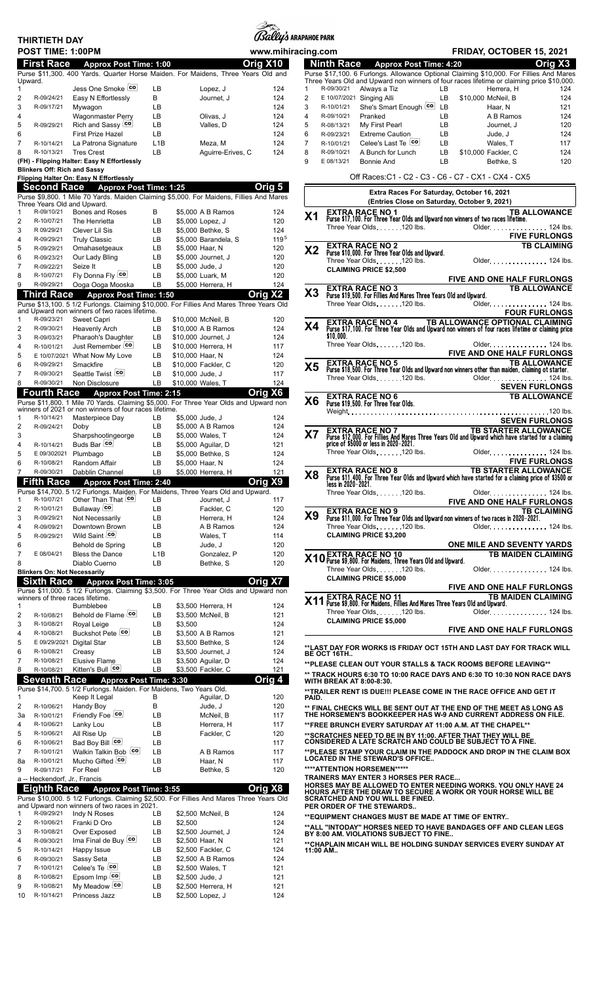| THIRTIETH DAY |                   |
|---------------|-------------------|
|               | POST TIME: 1:00PN |



**Ninth Race Approx Post Time: 4:20 Orig X3**

|    | <b>POST TIME: 1:00PM</b>      |                                                                     |                  |                                                                                          | www.mihiracing.com |                |                                                                                                                   | FRIDAY, OCTOBER 15, 2021                                                                                                                                                          |
|----|-------------------------------|---------------------------------------------------------------------|------------------|------------------------------------------------------------------------------------------|--------------------|----------------|-------------------------------------------------------------------------------------------------------------------|-----------------------------------------------------------------------------------------------------------------------------------------------------------------------------------|
|    | <b>First Race</b>             | <b>Approx Post Time: 1:00</b>                                       |                  |                                                                                          | Orig X10           |                | <b>Ninth Race</b><br><b>Approx Post Time: 4:20</b>                                                                | Orig X3                                                                                                                                                                           |
|    |                               |                                                                     |                  | Purse \$11,300. 400 Yards. Quarter Horse Maiden. For Maidens, Three Years Old and        |                    |                |                                                                                                                   | Purse \$17,100. 6 Furlongs. Allowance Optional Claiming \$10,000. For Fillies And Mares                                                                                           |
|    | Upward.                       |                                                                     |                  |                                                                                          |                    |                |                                                                                                                   | Three Years Old and Upward non winners of four races lifetime or claiming price \$10,000.                                                                                         |
|    |                               | Jess One Smoke co                                                   | LB               | Lopez, J                                                                                 | 124                | $\mathbf{1}$   | R-09/30/21<br>Always a Tiz                                                                                        | LB.<br>Herrera, H<br>124                                                                                                                                                          |
|    | R-09/24/21                    | Easy N Effortlessly                                                 | В                | Journet, J                                                                               | 124                | $\overline{2}$ | E 10/07/2021 Singing Alli                                                                                         | LB<br>\$10,000 McNeil. B<br>124                                                                                                                                                   |
|    | R-09/17/21                    | Mywagon                                                             | LB               |                                                                                          | 124                | 3              | She's Smart Enough co LB<br>R-10/01/21                                                                            | 121<br>Haar, N                                                                                                                                                                    |
|    |                               | <b>Wagonmaster Perry</b>                                            | LB               | Olivas, J                                                                                | 124                | 4              | R-09/10/21<br>Pranked                                                                                             | LB<br>124<br>A B Ramos                                                                                                                                                            |
|    | R-09/29/21                    | Rich and Sassy co                                                   | LB               | Valles, D                                                                                | 124                | 5              | R-08/13/21<br>My First Pearl                                                                                      | LB<br>120<br>Journet, J                                                                                                                                                           |
|    |                               | <b>First Prize Hazel</b>                                            | LB               |                                                                                          | 124                | 6              | <b>Extreme Caution</b><br>R-09/23/21                                                                              | LB<br>124<br>Jude, J                                                                                                                                                              |
|    | R-10/14/21                    | La Patrona Signature                                                | L1B              | Meza, M                                                                                  | 124                | $\overline{7}$ | Celee's Last Te co<br>R-10/01/21                                                                                  | LB<br>117<br>Wales, T                                                                                                                                                             |
|    | R-10/13/21                    | <b>Tres Crest</b>                                                   | LB               | Aquirre-Erives, C                                                                        | 124                | 8              | R-09/10/21<br>A Bunch for Lunch                                                                                   | LB<br>\$10,000 Fackler, C<br>124                                                                                                                                                  |
|    |                               | (FH) - Flipping Halter: Easy N Effortlessly                         |                  |                                                                                          |                    | 9              | E 08/13/21<br>Bonnie And                                                                                          | LB<br>Bethke, S<br>120                                                                                                                                                            |
|    |                               | <b>Blinkers Off: Rich and Sassy</b>                                 |                  |                                                                                          |                    |                |                                                                                                                   |                                                                                                                                                                                   |
|    |                               | Flipping Halter On: Easy N Effortlessly                             |                  |                                                                                          |                    |                |                                                                                                                   | Off Races: C1 - C2 - C3 - C6 - C7 - CX1 - CX4 - CX5                                                                                                                               |
|    | <b>Second Race</b>            | <b>Approx Post Time: 1:25</b>                                       |                  |                                                                                          | Orig 5             |                |                                                                                                                   |                                                                                                                                                                                   |
|    |                               |                                                                     |                  | Purse \$9,800. 1 Mile 70 Yards. Maiden Claiming \$5,000. For Maidens, Fillies And Mares  |                    |                |                                                                                                                   | Extra Races For Saturday, October 16, 2021                                                                                                                                        |
|    |                               | Three Years Old and Upward.                                         |                  |                                                                                          |                    |                |                                                                                                                   | (Entries Close on Saturday, October 9, 2021)                                                                                                                                      |
|    | R-09/10/21                    | Bones and Roses                                                     | В                | \$5,000 A B Ramos                                                                        | 124                | X <sub>1</sub> | EXTRA RACE NO <sub>.</sub> 1<br>Purse \$17,100. For Three Year Olds and Upward non winners of two races lifetime. | <b>TB ALLOWANCE</b>                                                                                                                                                               |
|    | R-10/07/21                    | The Henrietta                                                       | LB               | \$5,000 Lopez, J                                                                         | 120                |                | Three Year Olds. 120 lbs.                                                                                         | Older. 124 lbs.                                                                                                                                                                   |
|    | R 09/29/21                    | Clever Lil Sis                                                      | LB               | \$5,000 Bethke, S                                                                        | 124                |                |                                                                                                                   | <b>FIVE FURLONGS</b>                                                                                                                                                              |
|    | R-09/29/21                    | <b>Truly Classic</b>                                                | LB               | \$5,000 Barandela, S                                                                     | 1195               |                |                                                                                                                   | <b>TB CLAIMING</b>                                                                                                                                                                |
|    | R-09/29/21                    | Omahasetgeaux                                                       | LB               | \$5,000 Haar, N                                                                          | 120                | X2             | <b>EXTRA RACE NO 2</b><br>Purse \$10,000. For Three Year Olds and Upward.                                         |                                                                                                                                                                                   |
|    | R-09/23/21                    | Our Lady Bling                                                      | LB               | \$5,000 Journet, J                                                                       | 120                |                | Three Year Olds. 120 lbs.                                                                                         | Older. 124 lbs.                                                                                                                                                                   |
|    | R-09/22/21                    | Seize It                                                            | LB               | \$5,000 Jude, J                                                                          | 120                |                | <b>CLAIMING PRICE \$2.500</b>                                                                                     |                                                                                                                                                                                   |
|    | R-10/07/21                    | Fly Donna Fly co                                                    | LB               | \$5,000 Luark, M                                                                         | 120                |                |                                                                                                                   | <b>FIVE AND ONE HALF FURLONGS</b>                                                                                                                                                 |
|    | R-09/29/21                    | Ooga Ooga Mooska                                                    | LB               | \$5,000 Herrera, H                                                                       | 124                |                |                                                                                                                   | <b>TB ALLOWANCE</b>                                                                                                                                                               |
|    | <b>Third Race</b>             | <b>Approx Post Time: 1:50</b>                                       |                  |                                                                                          | X2<br>Oria         | X3             | <b>EXTRA RACE NO 3</b><br>Purse \$19,500. For Fillies And Mares Three Years Old and Upward.                       |                                                                                                                                                                                   |
|    |                               |                                                                     |                  | Purse \$13,100. 5 1/2 Furlongs. Claiming \$10,000. For Fillies And Mares Three Years Old |                    |                | Three Year Olds120 lbs.                                                                                           | Older. 124 lbs.                                                                                                                                                                   |
|    |                               | and Upward non winners of two races lifetime.                       |                  |                                                                                          |                    |                |                                                                                                                   | <b>FOUR FURLONGS</b>                                                                                                                                                              |
|    | R-09/23/21                    | Sweet Capri                                                         | LB               | \$10,000 McNeil, B                                                                       | 120                |                |                                                                                                                   |                                                                                                                                                                                   |
|    | R-09/30/21                    | <b>Heavenly Arch</b>                                                | LB               | \$10,000 A B Ramos                                                                       | 124                | Х4             |                                                                                                                   | <b>EXTRA RACE NO 4 TB ALLOWANCE OPTIONAL CLAIMING</b><br>Purse \$17,100. For Three Year Olds and Upward non winners of four races lifetime or claiming price                      |
|    | R-09/03/21                    | Pharaoh's Daughter                                                  | LB               | \$10,000 Journet, J                                                                      | 124                |                | \$10.000.                                                                                                         |                                                                                                                                                                                   |
|    | R-10/01/21                    | Just Remember co                                                    | LB               | \$10,000 Herrera, H                                                                      | 117                |                | Three Year Olds. 120 lbs.                                                                                         | Older. 124 lbs.                                                                                                                                                                   |
|    |                               | E 10/07/2021 What Now My Love                                       | LB               | \$10,000 Haar, N                                                                         | 124                |                |                                                                                                                   | FIVE AND ONE HALF FURLONGS                                                                                                                                                        |
|    | R-09/29/21                    | Smackfire                                                           | LB               | \$10,000 Fackler, C                                                                      | 120                | X5             | <b>EXTRA RACE NO 5</b>                                                                                            | <b>TB ALLOWANCE</b>                                                                                                                                                               |
|    | R-09/30/21                    | Seattle Twist Co                                                    | LB               | \$10,000 Jude, J                                                                         | 117                |                |                                                                                                                   | Purse \$18,500. For Three Year Olds and Upward non winners other than maiden, claiming ot starter.                                                                                |
|    | R-09/30/21                    | Non Disclosure                                                      | LB               | \$10,000 Wales, T                                                                        | 124                |                | Three Year Olds. 120 lbs.                                                                                         | Older. 124 lbs.                                                                                                                                                                   |
|    | <b>Fourth Race</b>            | <b>Approx Post Time: 2:15</b>                                       |                  |                                                                                          | Orig X6            |                |                                                                                                                   | <b>SEVEN FURLONGS</b>                                                                                                                                                             |
|    |                               |                                                                     |                  | Purse \$11,800. 1 Mile 70 Yards. Claiming \$5,000. For Three Year Olds and Upward non    |                    | X <sub>6</sub> | <b>EXTRA RACE NO 6</b><br>Purse \$19,500. For Three Year Olds.                                                    | <b>TB ALLOWANCE</b>                                                                                                                                                               |
|    |                               | winners of 2021 or non winners of four races lifetime.              |                  |                                                                                          |                    |                |                                                                                                                   |                                                                                                                                                                                   |
|    | R-10/14/21                    | Masterpiece Day                                                     | LB               | \$5,000 Jude, J                                                                          | 124                |                |                                                                                                                   | <b>SEVEN FURLONGS</b>                                                                                                                                                             |
|    | R-09/24/21                    | Doby                                                                | LB               | \$5,000 A B Ramos                                                                        | 124                |                |                                                                                                                   | TB STARTER ALLOWANCE                                                                                                                                                              |
|    |                               | Sharpshootingeorge                                                  | LB               | \$5,000 Wales, T                                                                         | 124                | X7             |                                                                                                                   | <b>EXTRA RACE NO 7 TB STARTER ALLOWANCE</b><br>Purse \$12,000. For Fillies And Mares Three Years Old and Upward which have started for a claiming                                 |
|    | R-10/14/21                    | Buds Bar co                                                         | LB               | \$5,000 Aguilar, D                                                                       | 121                |                | price of \$5000 or less in 2020-2021.                                                                             |                                                                                                                                                                                   |
|    | E 09/302021 Plumbago          |                                                                     | LB               | \$5,000 Bethke, S                                                                        | 124                |                | Three Year Olds. 120 lbs.                                                                                         | Older. 124 lbs.                                                                                                                                                                   |
|    | R-10/08/21                    | Random Affair                                                       | LB               | \$5,000 Haar, N                                                                          | 124                |                |                                                                                                                   | <b>FIVE FURLONGS</b>                                                                                                                                                              |
|    | R-09/30/21                    | Dabblin Channel                                                     | LB               | \$5,000 Herrera, H                                                                       | 121                |                |                                                                                                                   | <b>TB STARTER ALLOWANCE</b><br><b>EXTRA RACE NO 8</b> TB STARTER ALLOWANCE<br>Purse \$11,400. For Three Year Olds and Upward which have started for a claiming price of \$3500 or |
|    | <b>Fifth Race</b>             | <b>Approx Post Time: 2:40</b>                                       |                  |                                                                                          | Orig X9            | X8             |                                                                                                                   |                                                                                                                                                                                   |
|    |                               |                                                                     |                  | Purse \$14,700. 5 1/2 Furlongs. Maiden. For Maidens, Three Years Old and Upward.         |                    |                | less in 2020-2021.<br>Three Year Olds. 120 lbs.                                                                   |                                                                                                                                                                                   |
|    | R-10/07/21                    | Other Than That co                                                  | LB               | Journet, J                                                                               | 117                |                |                                                                                                                   | Older. 124 lbs.<br>FIVE AND ONE HALF FURLONGS                                                                                                                                     |
|    | R-10/01/21                    | Bullaway co                                                         | LB               | Fackler, C                                                                               | 120                |                |                                                                                                                   |                                                                                                                                                                                   |
|    | R-09/29/21                    | Not Necessarily                                                     | LB               | Herrera, H                                                                               | 124                | X9             | <b>EXTRA RACE NO 9</b>                                                                                            | <b>TB CLAIMING</b><br>Purse \$11,000. For Three Year Olds and Upward non winners of two races in 2020-2021.                                                                       |
|    | R-09/09/21                    | Downtown Brown                                                      | LB               | A B Ramos                                                                                | 124                |                | Three Year Olds. 120 lbs.                                                                                         | Older. 124 lbs.                                                                                                                                                                   |
|    | R-09/29/21                    | Wild Saint co                                                       | LB               | Wales, T                                                                                 | 114                |                | <b>CLAIMING PRICE \$3,200</b>                                                                                     |                                                                                                                                                                                   |
|    |                               | Behold de Spring                                                    | LB               | Jude, J                                                                                  | 120                |                |                                                                                                                   | <b>ONE MILE AND SEVENTY YARDS</b>                                                                                                                                                 |
|    | E 08/04/21                    | <b>Bless the Dance</b>                                              | L <sub>1</sub> B | Gonzalez, P                                                                              | 120                |                |                                                                                                                   | <b>TB MAIDEN CLAIMING</b>                                                                                                                                                         |
|    |                               | Diablo Cuerno                                                       | LB               | Bethke, S                                                                                | 120                |                | <b>X10</b> EXTRA RACE NO 10<br><b>X10</b> Purse \$9,800. For Maidens, Three Years 01d and Upward.                 |                                                                                                                                                                                   |
|    |                               | <b>Blinkers On: Not Necessarily</b>                                 |                  |                                                                                          |                    |                | Three Year Olds. 120 lbs.                                                                                         | Older 124 lbs.                                                                                                                                                                    |
|    | <b>Sixth Race</b>             |                                                                     |                  |                                                                                          | Orig X7            |                | <b>CLAIMING PRICE \$5,000</b>                                                                                     |                                                                                                                                                                                   |
|    |                               | <b>Approx Post Time: 3:05</b>                                       |                  | Purse \$11,000. 5 1/2 Furlongs. Claiming \$3,500. For Three Year Olds and Upward non     |                    |                |                                                                                                                   | FIVE AND ONE HALF FURLONGS                                                                                                                                                        |
|    |                               | winners of three races lifetime.                                    |                  |                                                                                          |                    |                | <b>EXTRA RACE NO 11</b>                                                                                           | <b>TB MAIDEN CLAIMING</b>                                                                                                                                                         |
|    |                               | <b>Bumblebee</b>                                                    | LB               | \$3,500 Herrera, H                                                                       | 124                | <b>X11</b>     | Purse \$9,800. For Maidens, Fillies And Mares Three Years Old and Upward.                                         |                                                                                                                                                                                   |
|    | R-10/08/21                    | Behold de Flame co                                                  | LB               | \$3,500 McNeil, B                                                                        | 121                |                | Three Year Olds. 120 lbs.                                                                                         | Older. 124 lbs.                                                                                                                                                                   |
|    | R-10/08/21                    | Royal Leige                                                         | LB               | \$3,500                                                                                  | 124                |                | <b>CLAIMING PRICE \$5,000</b>                                                                                     |                                                                                                                                                                                   |
|    | R-10/08/21                    | Buckshot Pete Co                                                    | LB               | \$3,500 A B Ramos                                                                        | 121                |                |                                                                                                                   | <b>FIVE AND ONE HALF FURLONGS</b>                                                                                                                                                 |
|    |                               | E 09/29/2021 Digital Star                                           | LB               | \$3,500 Bethke, S                                                                        | 124                |                |                                                                                                                   |                                                                                                                                                                                   |
|    | R-10/08/21                    | Creasy                                                              | LB               | \$3,500 Journet, J                                                                       | 124                |                |                                                                                                                   | **LAST DAY FOR WORKS IS FRIDAY OCT 15TH AND LAST DAY FOR TRACK WILL                                                                                                               |
|    | R-10/08/21                    | Elusive Flame                                                       | LB               | \$3,500 Aguilar, D                                                                       | 124                |                | BE OCT 16TH                                                                                                       |                                                                                                                                                                                   |
|    | R-10/08/21                    | Kitten's Bull co                                                    | LB               | \$3,500 Fackler, C                                                                       | 121                |                |                                                                                                                   | **PLEASE CLEAN OUT YOUR STALLS & TACK ROOMS BEFORE LEAVING**                                                                                                                      |
|    |                               |                                                                     |                  |                                                                                          |                    |                |                                                                                                                   | ** TRACK HOURS 6:30 TO 10:00 RACE DAYS AND 6:30 TO 10:30 NON RACE DAYS                                                                                                            |
|    | <b>Seventh Race</b>           | <b>Approx Post Time: 3:30</b>                                       |                  |                                                                                          | Orig 4             |                | WITH BREAK AT 8:00-8:30.                                                                                          |                                                                                                                                                                                   |
|    |                               | Purse \$14,700. 5 1/2 Furlongs. Maiden. For Maidens, Two Years Old. |                  |                                                                                          |                    |                |                                                                                                                   | **TRAILER RENT IS DUE!!! PLEASE COME IN THE RACE OFFICE AND GET IT                                                                                                                |
|    |                               | Keep It Legal                                                       | в                | Aguilar, D                                                                               | 120                | PAID.          |                                                                                                                   |                                                                                                                                                                                   |
|    | R-10/06/21                    | Handy Boy                                                           | B                | Jude, J                                                                                  | 120                |                |                                                                                                                   | ** FINAL CHECKS WILL BE SENT OUT AT THE END OF THE MEET AS LONG AS<br>THE HORSEMEN'S BOOKKEEPER HAS W-9 AND CURRENT ADDRESS ON FILE.                                              |
|    | R-10/01/21                    | Friendly Foe co                                                     | LB               | McNeil, B                                                                                | 117                |                |                                                                                                                   |                                                                                                                                                                                   |
|    | R-10/06/21                    | Lanky Lou                                                           | LB               | Herrera, H                                                                               | 117                |                | **FREE BRUNCH EVERY SATURDAY AT 11:00 A.M. AT THE CHAPEL**                                                        |                                                                                                                                                                                   |
|    | R-10/06/21                    | All Rise Up                                                         | LB               | Fackler, C                                                                               | 120                |                | ** SCRATCHES NEED TO BE IN BY 11:00. AFTER THAT THEY WILL BE                                                      |                                                                                                                                                                                   |
|    | R-10/06/21                    | Bad Boy Bill co                                                     | LB               |                                                                                          | 117                |                | <b>CONSIDERED A LATE SCRATCH AND COULD BE SUBJECT TO A FINE.</b>                                                  |                                                                                                                                                                                   |
|    | R-10/01/21                    | Walkin Talkin Bob                                                   | LB               | A B Ramos                                                                                | 117                |                |                                                                                                                   | **PLEASE STAMP YOUR CLAIM IN THE PADDOCK AND DROP IN THE CLAIM BOX                                                                                                                |
|    | R-10/01/21                    | Mucho Gifted co                                                     | LB               | Haar, N                                                                                  | 117                |                | <b>LOCATED IN THE STEWARD'S OFFICE</b>                                                                            |                                                                                                                                                                                   |
|    | R-09/17/21                    | For Reel                                                            | LB               | Bethke, S                                                                                | 120                |                | ****ATTENTION HORSEMEN*****                                                                                       |                                                                                                                                                                                   |
|    | a -- Heckendorf, Jr., Francis |                                                                     |                  |                                                                                          |                    |                | <b>TRAINERS MAY ENTER 3 HORSES PER RACE</b>                                                                       |                                                                                                                                                                                   |
|    | <b>Eighth Race</b>            | <b>Approx Post Time: 3:55</b>                                       |                  |                                                                                          | Oria<br><b>X8</b>  |                |                                                                                                                   | HORSES MAY BE ALLOWED TO ENTER NEEDING WORKS. YOU ONLY HAVE 24<br>HOURS AFTER THE DRAW TO SECURE A WORK OR YOUR HORSE WILL BE                                                     |
|    |                               |                                                                     |                  | Purse \$10,000. 5 1/2 Furlongs. Claiming \$2,500. For Fillies And Mares Three Years Old  |                    |                | <b>SCRATCHED AND YOU WILL BE FINED.</b>                                                                           |                                                                                                                                                                                   |
|    |                               | and Upward non winners of two races in 2021.                        |                  |                                                                                          |                    |                | PER ORDER OF THE STEWARDS                                                                                         |                                                                                                                                                                                   |
|    | R-09/29/21                    | Indy N Roses                                                        | LВ               | \$2,500 McNeil, B                                                                        | 124                |                |                                                                                                                   |                                                                                                                                                                                   |
|    | R-10/06/21                    | Franki D Oro                                                        | LB               | \$2,500                                                                                  | 124                |                | **EQUIPMENT CHANGES MUST BE MADE AT TIME OF ENTRY                                                                 |                                                                                                                                                                                   |
|    | R-10/08/21                    | Over Exposed                                                        | LB               | \$2,500 Journet, J                                                                       | 124                |                |                                                                                                                   | **ALL "INTODAY" HORSES NEED TO HAVE BANDAGES OFF AND CLEAN LEGS<br>BY 8:00 AM. VIOLATIONS SUBJECT TO FINE                                                                         |
|    | R-09/30/21                    | Ima Final de Buy                                                    | LB               | \$2,500 Haar, N                                                                          | 121                |                |                                                                                                                   |                                                                                                                                                                                   |
|    | R-10/14/21                    | Happy Issue                                                         | LB               | \$2,500 Fackler, C                                                                       | 124                | 11:00 AM       |                                                                                                                   | **CHAPLAIN MICAH WILL BE HOLDING SUNDAY SERVICES EVERY SUNDAY AT                                                                                                                  |
|    | R-09/30/21                    |                                                                     | LB               |                                                                                          | 124                |                |                                                                                                                   |                                                                                                                                                                                   |
|    |                               | Sassy Seta                                                          |                  | \$2,500 A B Ramos                                                                        |                    |                |                                                                                                                   |                                                                                                                                                                                   |
|    | R-10/01/21                    | Celee's Te                                                          | LB               | \$2,500 Wales, T                                                                         | 121                |                |                                                                                                                   |                                                                                                                                                                                   |
|    | R-10/08/21                    | Epsom Imp co                                                        | LB               | \$2,500 Jude, J                                                                          | 121                |                |                                                                                                                   |                                                                                                                                                                                   |
|    | R-10/08/21                    | My Meadow co                                                        | LB               | \$2,500 Herrera, H                                                                       | 121                |                |                                                                                                                   |                                                                                                                                                                                   |
|    | R-10/14/21                    | Princess Jazz                                                       | LB               | \$2,500 Lopez, J                                                                         | 124                |                |                                                                                                                   |                                                                                                                                                                                   |
| 10 |                               |                                                                     |                  |                                                                                          |                    |                |                                                                                                                   |                                                                                                                                                                                   |